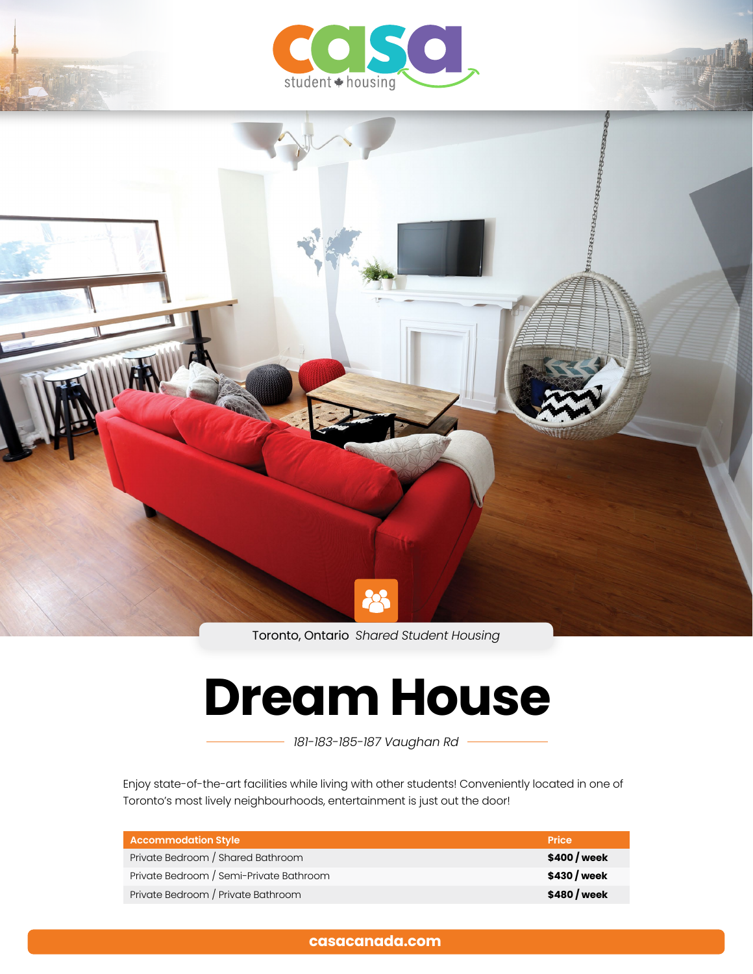

Toronto, Ontario *Shared Student Housing*

# **Dream House**

*181-183-185-187 Vaughan Rd*

Enjoy state-of-the-art facilities while living with other students! Conveniently located in one of Toronto's most lively neighbourhoods, entertainment is just out the door!

| Accommodation Style                     | <b>Price</b> |
|-----------------------------------------|--------------|
| Private Bedroom / Shared Bathroom       | \$400 / week |
| Private Bedroom / Semi-Private Bathroom | \$430 / week |
| Private Bedroom / Private Bathroom      | \$480 / week |